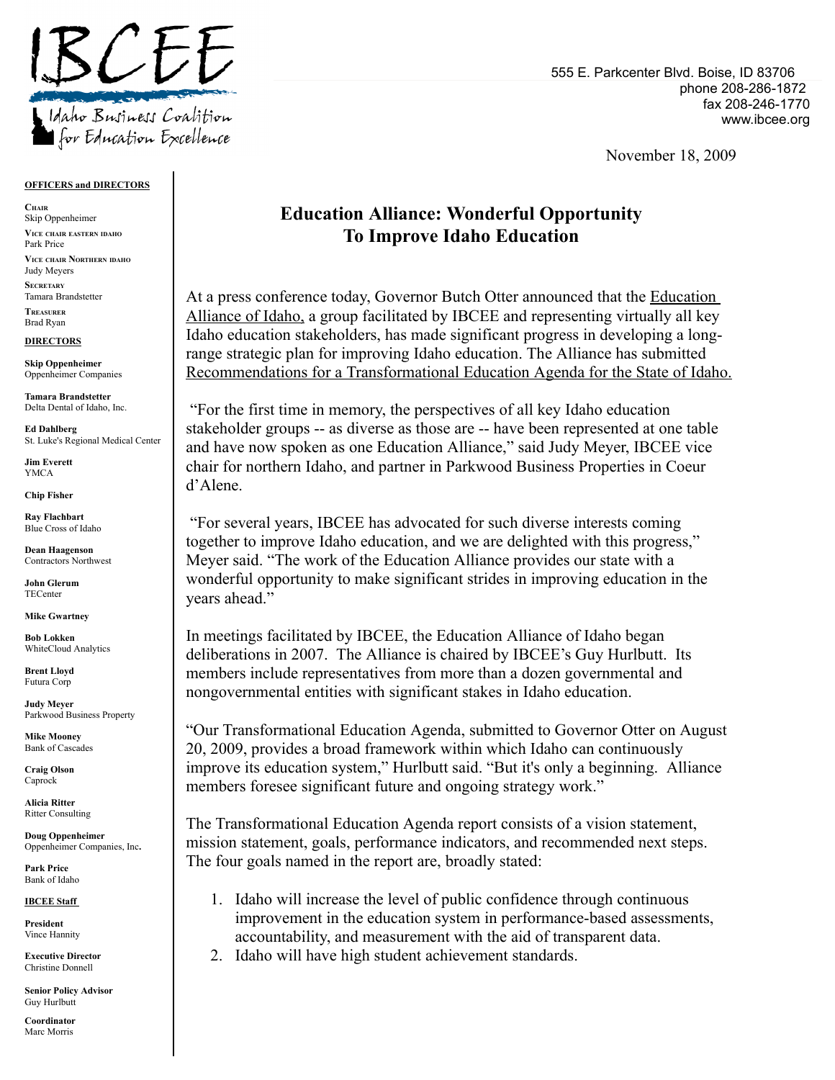

### **OFFICERS and DIRECTORS**

**CHAIR** Skip Oppenheimer **VICE CHAIR EASTERN IDAHO** Park Price **VICE CHAIR NORTHERN IDAHO** Judy Meyers **SECRETARY** Tamara Brandstetter **TREASURER** Brad Ryan

#### **DIRECTORS**

**Skip Oppenheimer** Oppenheimer Companies

**Tamara Brandstetter** Delta Dental of Idaho, Inc.

**Ed Dahlberg** St. Luke's Regional Medical Center

**Jim Everett** YMCA

**Chip Fisher**

**Ray Flachbart** Blue Cross of Idaho

**Dean Haagenson** Contractors Northwest

**John Glerum TECenter** 

**Mike Gwartney**

**Bob Lokken** WhiteCloud Analytics

**Brent Lloyd** Futura Corp

**Judy Meyer** Parkwood Business Property

**Mike Mooney** Bank of Cascades

**Craig Olson** Caprock

**Alicia Ritter** Ritter Consulting

**Doug Oppenheimer** Oppenheimer Companies, Inc**.**

**Park Price** Bank of Idaho

**IBCEE Staff**

**President** Vince Hannity

**Executive Director** Christine Donnell

**Senior Policy Advisor** Guy Hurlbutt

**Coordinator** Marc Morris

555 E. Parkcenter Blvd. Boise, ID 83706 phone 208-286-1872 fax 208-246-1770 www.ibcee.org

November 18, 2009

## **Education Alliance: Wonderful Opportunity To Improve Idaho Education**

At a press conference today, Governor Butch Otter announced that the Education Alliance of Idaho, a group facilitated by IBCEE and representing virtually all key Idaho education stakeholders, has made significant progress in developing a longrange strategic plan for improving Idaho education. The Alliance has submitted Recommendations for a Transformational Education Agenda for the State of Idaho.

"For the first time in memory, the perspectives of all key Idaho education stakeholder groups -- as diverse as those are -- have been represented at one table and have now spoken as one Education Alliance," said Judy Meyer, IBCEE vice chair for northern Idaho, and partner in Parkwood Business Properties in Coeur d'Alene.

"For several years, IBCEE has advocated for such diverse interests coming together to improve Idaho education, and we are delighted with this progress," Meyer said. "The work of the Education Alliance provides our state with a wonderful opportunity to make significant strides in improving education in the years ahead."

In meetings facilitated by IBCEE, the Education Alliance of Idaho began deliberations in 2007. The Alliance is chaired by IBCEE's Guy Hurlbutt. Its members include representatives from more than a dozen governmental and nongovernmental entities with significant stakes in Idaho education.

"Our Transformational Education Agenda, submitted to Governor Otter on August 20, 2009, provides a broad framework within which Idaho can continuously improve its education system," Hurlbutt said. "But it's only a beginning. Alliance members foresee significant future and ongoing strategy work."

The Transformational Education Agenda report consists of a vision statement, mission statement, goals, performance indicators, and recommended next steps. The four goals named in the report are, broadly stated:

- 1. Idaho will increase the level of public confidence through continuous improvement in the education system in performance-based assessments, accountability, and measurement with the aid of transparent data.
- 2. Idaho will have high student achievement standards.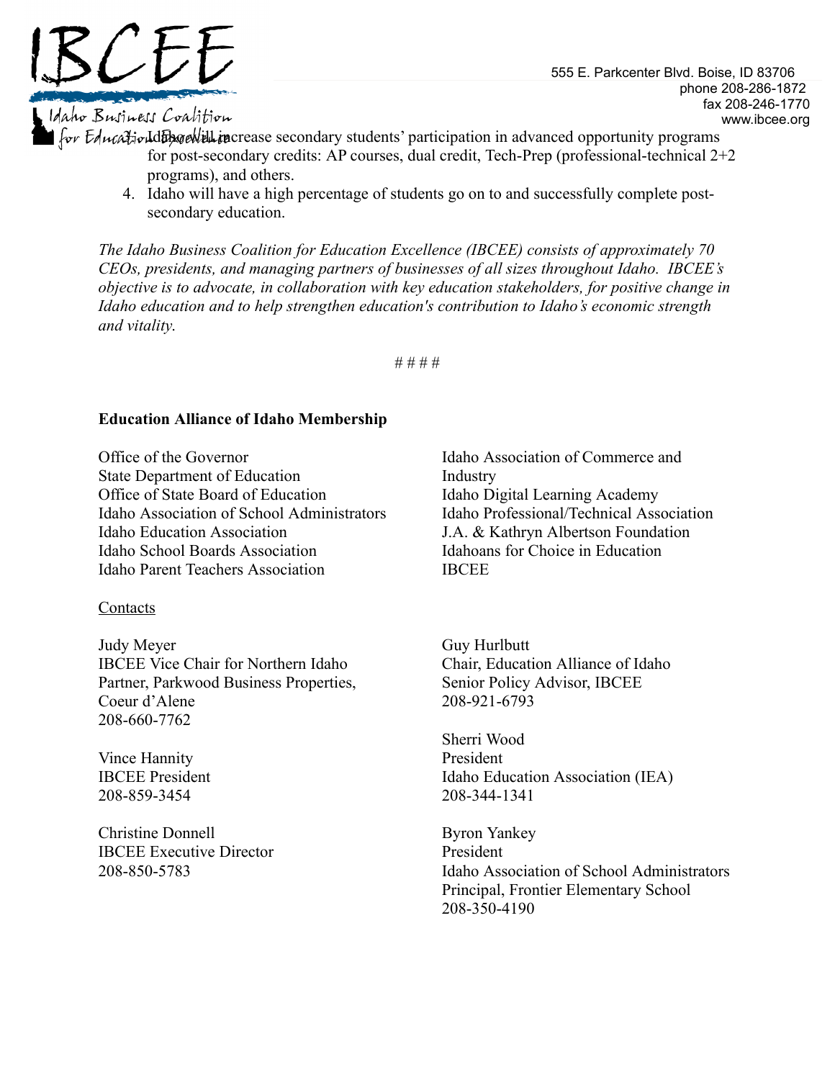

# Maho Business Coalition

555 E. Parkcenter Blvd. Boise, ID 83706 phone 208-286-1872 fax 208-246-1770 www.ibcee.org

for Equalized alternative will increase secondary students' participation in advanced opportunity programs for post-secondary credits: AP courses, dual credit, Tech-Prep (professional-technical 2+2 programs), and others.

4. Idaho will have a high percentage of students go on to and successfully complete postsecondary education.

*The Idaho Business Coalition for Education Excellence (IBCEE) consists of approximately 70 CEOs, presidents, and managing partners of businesses of all sizes throughout Idaho. IBCEE's objective is to advocate, in collaboration with key education stakeholders, for positive change in Idaho education and to help strengthen education's contribution to Idaho's economic strength and vitality*.

# # # #

## **Education Alliance of Idaho Membership**

Office of the Governor State Department of Education Office of State Board of Education Idaho Association of School Administrators Idaho Education Association Idaho School Boards Association Idaho Parent Teachers Association

### Contacts

Judy Meyer IBCEE Vice Chair for Northern Idaho Partner, Parkwood Business Properties, Coeur d'Alene 208-660-7762

Vince Hannity IBCEE President 208-859-3454

Christine Donnell IBCEE Executive Director 208-850-5783

Idaho Association of Commerce and Industry Idaho Digital Learning Academy Idaho Professional/Technical Association J.A. & Kathryn Albertson Foundation Idahoans for Choice in Education **IBCEE** 

Guy Hurlbutt Chair, Education Alliance of Idaho Senior Policy Advisor, IBCEE 208-921-6793

Sherri Wood President Idaho Education Association (IEA) 208-344-1341

Byron Yankey President Idaho Association of School Administrators Principal, Frontier Elementary School 208-350-4190